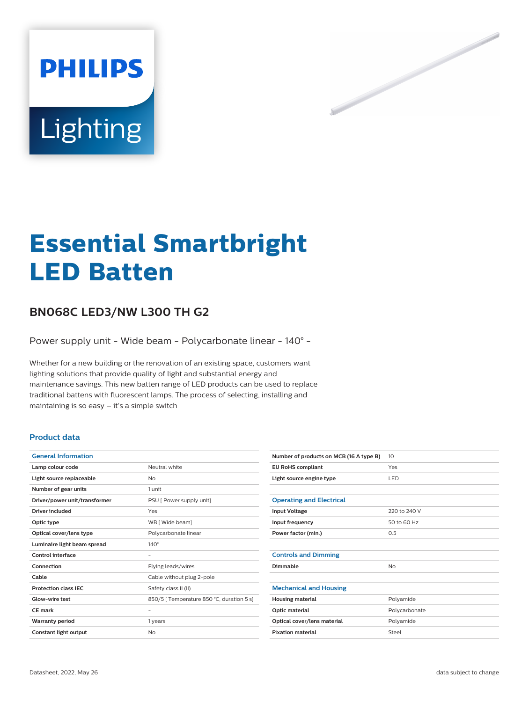

# **Essential Smartbright LED Batten**

# **BN068C LED3/NW L300 TH G2**

Power supply unit - Wide beam - Polycarbonate linear - 140° -

Whether for a new building or the renovation of an existing space, customers want lighting solutions that provide quality of light and substantial energy and maintenance savings. This new batten range of LED products can be used to replace traditional battens with fluorescent lamps. The process of selecting, installing and maintaining is so easy – it's a simple switch

#### **Product data**

| <b>General Information</b>    |                                           |
|-------------------------------|-------------------------------------------|
| Lamp colour code              | Neutral white                             |
| Light source replaceable      | No                                        |
| Number of gear units          | 1 unit                                    |
| Driver/power unit/transformer | PSU [ Power supply unit]                  |
| Driver included               | Yes                                       |
| Optic type                    | WB [ Wide beam]                           |
| Optical cover/lens type       | Polycarbonate linear                      |
| Luminaire light beam spread   | $140^\circ$                               |
| Control interface             |                                           |
| Connection                    | Flying leads/wires                        |
| Cable                         | Cable without plug 2-pole                 |
| <b>Protection class IEC</b>   | Safety class II (II)                      |
| Glow-wire test                | 850/5   Temperature 850 °C, duration 5 s] |
| <b>CE</b> mark                |                                           |
| <b>Warranty period</b>        | 1 years                                   |
| Constant light output         | No                                        |

| Number of products on MCB (16 A type B) | 10            |
|-----------------------------------------|---------------|
| <b>EU RoHS compliant</b>                | Yes           |
| Light source engine type                | LED           |
|                                         |               |
| <b>Operating and Electrical</b>         |               |
| <b>Input Voltage</b>                    | 220 to 240 V  |
| Input frequency                         | 50 to 60 Hz   |
| Power factor (min.)                     | 0.5           |
|                                         |               |
| <b>Controls and Dimming</b>             |               |
| Dimmable                                | No            |
|                                         |               |
| <b>Mechanical and Housing</b>           |               |
| <b>Housing material</b>                 | Polyamide     |
| Optic material                          | Polycarbonate |
| Optical cover/lens material             | Polyamide     |
| <b>Fixation material</b>                | Steel         |
|                                         |               |